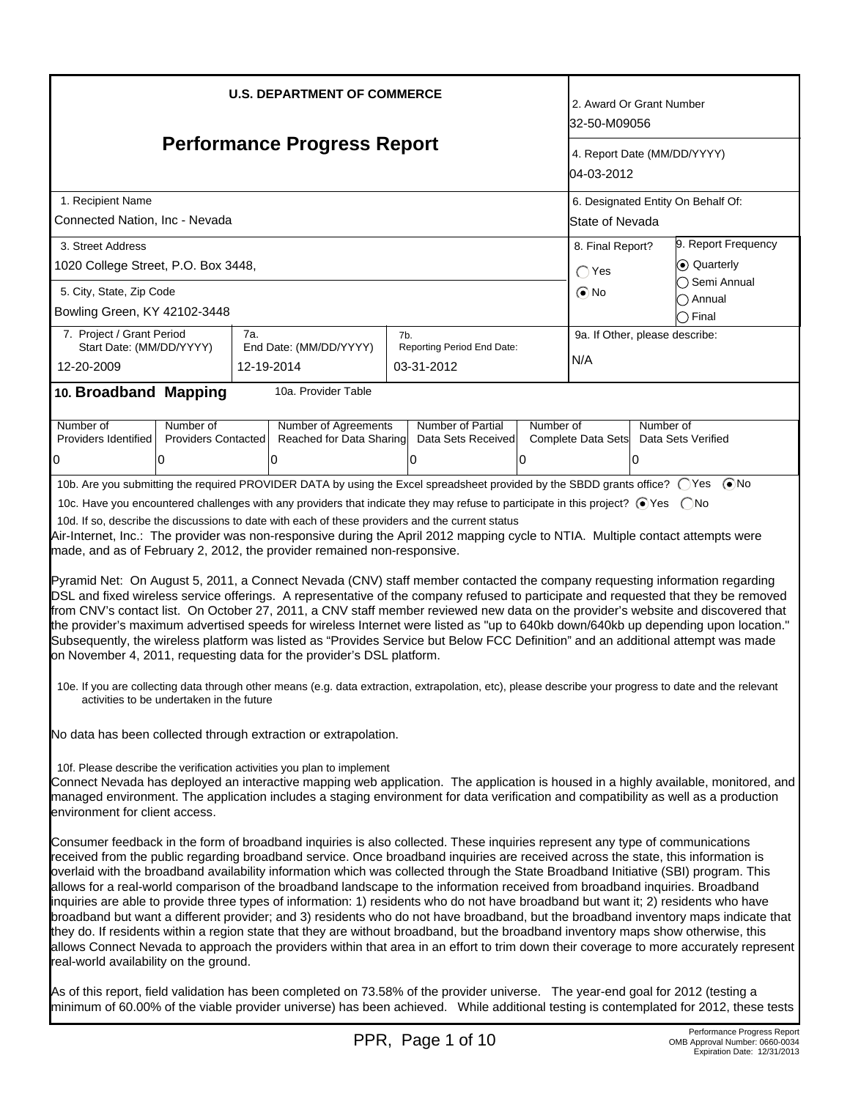| <b>U.S. DEPARTMENT OF COMMERCE</b><br><b>Performance Progress Report</b>                                                                                                                                                                                                                                                                                                                                                                                                                                                                                                                                                                                                                                                                                                                                                                                                                                                                                                                                                                                                                                                                          | 2. Award Or Grant Number<br>32-50-M09056<br>4. Report Date (MM/DD/YYYY) |                            |           |                                |                                    |  |  |
|---------------------------------------------------------------------------------------------------------------------------------------------------------------------------------------------------------------------------------------------------------------------------------------------------------------------------------------------------------------------------------------------------------------------------------------------------------------------------------------------------------------------------------------------------------------------------------------------------------------------------------------------------------------------------------------------------------------------------------------------------------------------------------------------------------------------------------------------------------------------------------------------------------------------------------------------------------------------------------------------------------------------------------------------------------------------------------------------------------------------------------------------------|-------------------------------------------------------------------------|----------------------------|-----------|--------------------------------|------------------------------------|--|--|
|                                                                                                                                                                                                                                                                                                                                                                                                                                                                                                                                                                                                                                                                                                                                                                                                                                                                                                                                                                                                                                                                                                                                                   |                                                                         |                            |           |                                | 04-03-2012                         |  |  |
| 1. Recipient Name                                                                                                                                                                                                                                                                                                                                                                                                                                                                                                                                                                                                                                                                                                                                                                                                                                                                                                                                                                                                                                                                                                                                 |                                                                         |                            |           |                                | 6. Designated Entity On Behalf Of: |  |  |
| Connected Nation, Inc - Nevada                                                                                                                                                                                                                                                                                                                                                                                                                                                                                                                                                                                                                                                                                                                                                                                                                                                                                                                                                                                                                                                                                                                    |                                                                         |                            |           | State of Nevada                |                                    |  |  |
| 3. Street Address                                                                                                                                                                                                                                                                                                                                                                                                                                                                                                                                                                                                                                                                                                                                                                                                                                                                                                                                                                                                                                                                                                                                 |                                                                         |                            |           | 8. Final Report?               | 9. Report Frequency                |  |  |
| 1020 College Street, P.O. Box 3448,                                                                                                                                                                                                                                                                                                                                                                                                                                                                                                                                                                                                                                                                                                                                                                                                                                                                                                                                                                                                                                                                                                               |                                                                         |                            |           | $\bigcap$ Yes                  | C Quarterly                        |  |  |
| 5. City, State, Zip Code                                                                                                                                                                                                                                                                                                                                                                                                                                                                                                                                                                                                                                                                                                                                                                                                                                                                                                                                                                                                                                                                                                                          |                                                                         |                            |           | $\odot$ No                     | Semi Annual                        |  |  |
| Bowling Green, KY 42102-3448                                                                                                                                                                                                                                                                                                                                                                                                                                                                                                                                                                                                                                                                                                                                                                                                                                                                                                                                                                                                                                                                                                                      |                                                                         |                            |           |                                | Annual<br>$\supset$ Final          |  |  |
| 7. Project / Grant Period                                                                                                                                                                                                                                                                                                                                                                                                                                                                                                                                                                                                                                                                                                                                                                                                                                                                                                                                                                                                                                                                                                                         | 7а.                                                                     | 7b.                        |           | 9a. If Other, please describe: |                                    |  |  |
| Start Date: (MM/DD/YYYY)                                                                                                                                                                                                                                                                                                                                                                                                                                                                                                                                                                                                                                                                                                                                                                                                                                                                                                                                                                                                                                                                                                                          | End Date: (MM/DD/YYYY)                                                  | Reporting Period End Date: |           |                                |                                    |  |  |
| 12-20-2009                                                                                                                                                                                                                                                                                                                                                                                                                                                                                                                                                                                                                                                                                                                                                                                                                                                                                                                                                                                                                                                                                                                                        | 12-19-2014                                                              | 03-31-2012                 |           | N/A                            |                                    |  |  |
| 10. Broadband Mapping                                                                                                                                                                                                                                                                                                                                                                                                                                                                                                                                                                                                                                                                                                                                                                                                                                                                                                                                                                                                                                                                                                                             | 10a. Provider Table                                                     |                            |           |                                |                                    |  |  |
| Number of<br>Number of                                                                                                                                                                                                                                                                                                                                                                                                                                                                                                                                                                                                                                                                                                                                                                                                                                                                                                                                                                                                                                                                                                                            | Number of Agreements                                                    | Number of Partial          | Number of |                                | Number of                          |  |  |
| Providers Identified<br><b>Providers Contacted</b>                                                                                                                                                                                                                                                                                                                                                                                                                                                                                                                                                                                                                                                                                                                                                                                                                                                                                                                                                                                                                                                                                                | Reached for Data Sharing                                                | Data Sets Received         |           | Complete Data Sets             | Data Sets Verified                 |  |  |
| 0<br>10                                                                                                                                                                                                                                                                                                                                                                                                                                                                                                                                                                                                                                                                                                                                                                                                                                                                                                                                                                                                                                                                                                                                           | l0                                                                      | 0                          | 0         | $\Omega$                       |                                    |  |  |
| 10b. Are you submitting the required PROVIDER DATA by using the Excel spreadsheet provided by the SBDD grants office? ○ Yes ● No                                                                                                                                                                                                                                                                                                                                                                                                                                                                                                                                                                                                                                                                                                                                                                                                                                                                                                                                                                                                                  |                                                                         |                            |           |                                |                                    |  |  |
| 10c. Have you encountered challenges with any providers that indicate they may refuse to participate in this project? ⊙ Yes  ONo                                                                                                                                                                                                                                                                                                                                                                                                                                                                                                                                                                                                                                                                                                                                                                                                                                                                                                                                                                                                                  |                                                                         |                            |           |                                |                                    |  |  |
| 10d. If so, describe the discussions to date with each of these providers and the current status<br>Air-Internet, Inc.: The provider was non-responsive during the April 2012 mapping cycle to NTIA. Multiple contact attempts were<br>made, and as of February 2, 2012, the provider remained non-responsive.                                                                                                                                                                                                                                                                                                                                                                                                                                                                                                                                                                                                                                                                                                                                                                                                                                    |                                                                         |                            |           |                                |                                    |  |  |
| Pyramid Net: On August 5, 2011, a Connect Nevada (CNV) staff member contacted the company requesting information regarding<br>DSL and fixed wireless service offerings. A representative of the company refused to participate and requested that they be removed<br>from CNV's contact list. On October 27, 2011, a CNV staff member reviewed new data on the provider's website and discovered that<br>the provider's maximum advertised speeds for wireless Internet were listed as "up to 640kb down/640kb up depending upon location."<br>Subsequently, the wireless platform was listed as "Provides Service but Below FCC Definition" and an additional attempt was made<br>on November 4, 2011, requesting data for the provider's DSL platform.                                                                                                                                                                                                                                                                                                                                                                                          |                                                                         |                            |           |                                |                                    |  |  |
| 10e. If you are collecting data through other means (e.g. data extraction, extrapolation, etc), please describe your progress to date and the relevant<br>activities to be undertaken in the future                                                                                                                                                                                                                                                                                                                                                                                                                                                                                                                                                                                                                                                                                                                                                                                                                                                                                                                                               |                                                                         |                            |           |                                |                                    |  |  |
| No data has been collected through extraction or extrapolation.                                                                                                                                                                                                                                                                                                                                                                                                                                                                                                                                                                                                                                                                                                                                                                                                                                                                                                                                                                                                                                                                                   |                                                                         |                            |           |                                |                                    |  |  |
| 10f. Please describe the verification activities you plan to implement<br>Connect Nevada has deployed an interactive mapping web application. The application is housed in a highly available, monitored, and<br>managed environment. The application includes a staging environment for data verification and compatibility as well as a production<br>environment for client access.                                                                                                                                                                                                                                                                                                                                                                                                                                                                                                                                                                                                                                                                                                                                                            |                                                                         |                            |           |                                |                                    |  |  |
| Consumer feedback in the form of broadband inquiries is also collected. These inquiries represent any type of communications<br>received from the public regarding broadband service. Once broadband inquiries are received across the state, this information is<br>overlaid with the broadband availability information which was collected through the State Broadband Initiative (SBI) program. This<br>allows for a real-world comparison of the broadband landscape to the information received from broadband inquiries. Broadband<br>inquiries are able to provide three types of information: 1) residents who do not have broadband but want it; 2) residents who have<br>broadband but want a different provider; and 3) residents who do not have broadband, but the broadband inventory maps indicate that<br>they do. If residents within a region state that they are without broadband, but the broadband inventory maps show otherwise, this<br>allows Connect Nevada to approach the providers within that area in an effort to trim down their coverage to more accurately represent<br>real-world availability on the ground. |                                                                         |                            |           |                                |                                    |  |  |
| As of this report, field validation has been completed on 73.58% of the provider universe. The year-end goal for 2012 (testing a<br>minimum of 60.00% of the viable provider universe) has been achieved. While additional testing is contemplated for 2012, these tests                                                                                                                                                                                                                                                                                                                                                                                                                                                                                                                                                                                                                                                                                                                                                                                                                                                                          |                                                                         |                            |           |                                |                                    |  |  |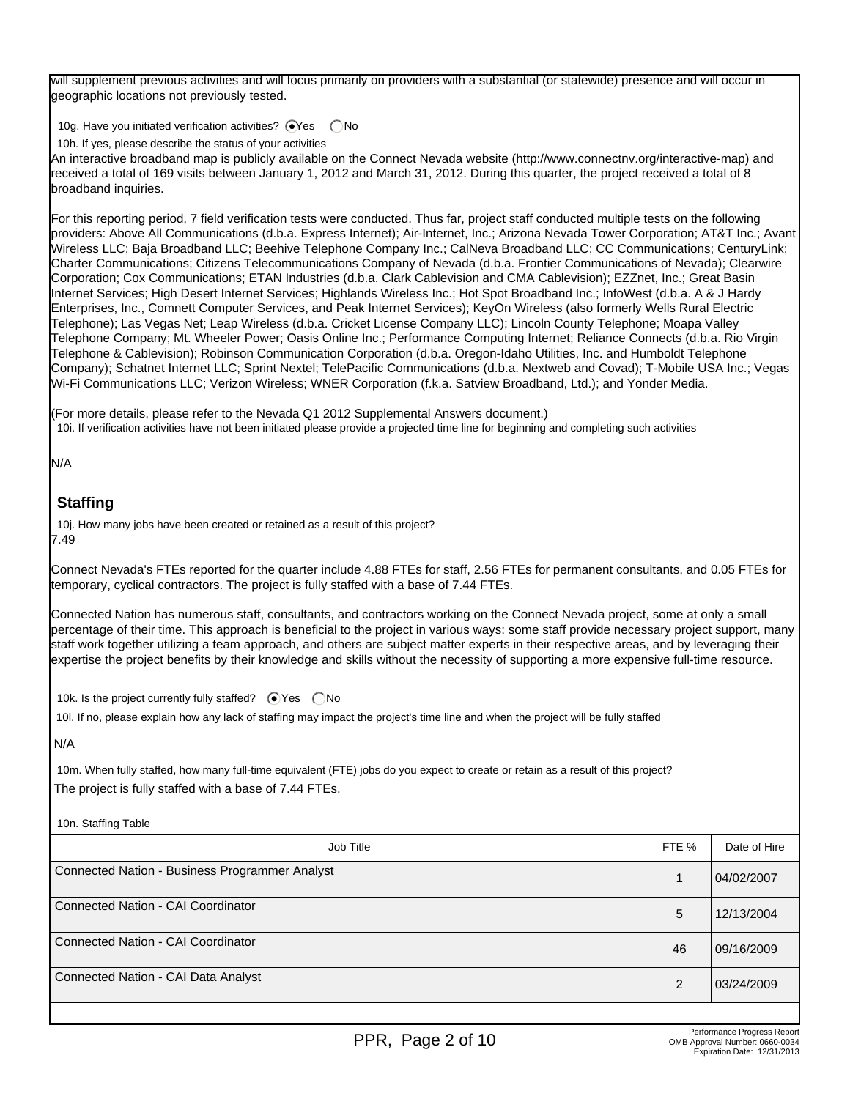will supplement previous activities and will focus primarily on providers with a substantial (or statewide) presence and will occur in geographic locations not previously tested.

10g. Have you initiated verification activities?  $\bigcirc$ Yes  $\bigcirc$  No

10h. If yes, please describe the status of your activities

An interactive broadband map is publicly available on the Connect Nevada website (http://www.connectnv.org/interactive-map) and received a total of 169 visits between January 1, 2012 and March 31, 2012. During this quarter, the project received a total of 8 broadband inquiries.

For this reporting period, 7 field verification tests were conducted. Thus far, project staff conducted multiple tests on the following providers: Above All Communications (d.b.a. Express Internet); Air-Internet, Inc.; Arizona Nevada Tower Corporation; AT&T Inc.; Avant Wireless LLC; Baja Broadband LLC; Beehive Telephone Company Inc.; CalNeva Broadband LLC; CC Communications; CenturyLink; Charter Communications; Citizens Telecommunications Company of Nevada (d.b.a. Frontier Communications of Nevada); Clearwire Corporation; Cox Communications; ETAN Industries (d.b.a. Clark Cablevision and CMA Cablevision); EZZnet, Inc.; Great Basin Internet Services; High Desert Internet Services; Highlands Wireless Inc.; Hot Spot Broadband Inc.; InfoWest (d.b.a. A & J Hardy Enterprises, Inc., Comnett Computer Services, and Peak Internet Services); KeyOn Wireless (also formerly Wells Rural Electric Telephone); Las Vegas Net; Leap Wireless (d.b.a. Cricket License Company LLC); Lincoln County Telephone; Moapa Valley Telephone Company; Mt. Wheeler Power; Oasis Online Inc.; Performance Computing Internet; Reliance Connects (d.b.a. Rio Virgin Telephone & Cablevision); Robinson Communication Corporation (d.b.a. Oregon-Idaho Utilities, Inc. and Humboldt Telephone Company); Schatnet Internet LLC; Sprint Nextel; TelePacific Communications (d.b.a. Nextweb and Covad); T-Mobile USA Inc.; Vegas Wi-Fi Communications LLC; Verizon Wireless; WNER Corporation (f.k.a. Satview Broadband, Ltd.); and Yonder Media.

(For more details, please refer to the Nevada Q1 2012 Supplemental Answers document.) 10i. If verification activities have not been initiated please provide a projected time line for beginning and completing such activities

N/A

# **Staffing**

10j. How many jobs have been created or retained as a result of this project? 7.49

Connect Nevada's FTEs reported for the quarter include 4.88 FTEs for staff, 2.56 FTEs for permanent consultants, and 0.05 FTEs for temporary, cyclical contractors. The project is fully staffed with a base of 7.44 FTEs.

Connected Nation has numerous staff, consultants, and contractors working on the Connect Nevada project, some at only a small percentage of their time. This approach is beneficial to the project in various ways: some staff provide necessary project support, many staff work together utilizing a team approach, and others are subject matter experts in their respective areas, and by leveraging their expertise the project benefits by their knowledge and skills without the necessity of supporting a more expensive full-time resource.

10k. Is the project currently fully staffed?  $\bigcirc$  Yes  $\bigcirc$  No

10l. If no, please explain how any lack of staffing may impact the project's time line and when the project will be fully staffed

N/A

10n. Staffing Table

10m. When fully staffed, how many full-time equivalent (FTE) jobs do you expect to create or retain as a result of this project? The project is fully staffed with a base of 7.44 FTEs.

| TUIT. Utaming Table                            |               |              |
|------------------------------------------------|---------------|--------------|
| Job Title                                      | FTE %         | Date of Hire |
| Connected Nation - Business Programmer Analyst |               | 04/02/2007   |
| Connected Nation - CAI Coordinator             | 5             | 12/13/2004   |
| Connected Nation - CAI Coordinator             | 46            | 09/16/2009   |
| Connected Nation - CAI Data Analyst            | $\mathcal{P}$ | 03/24/2009   |
|                                                |               |              |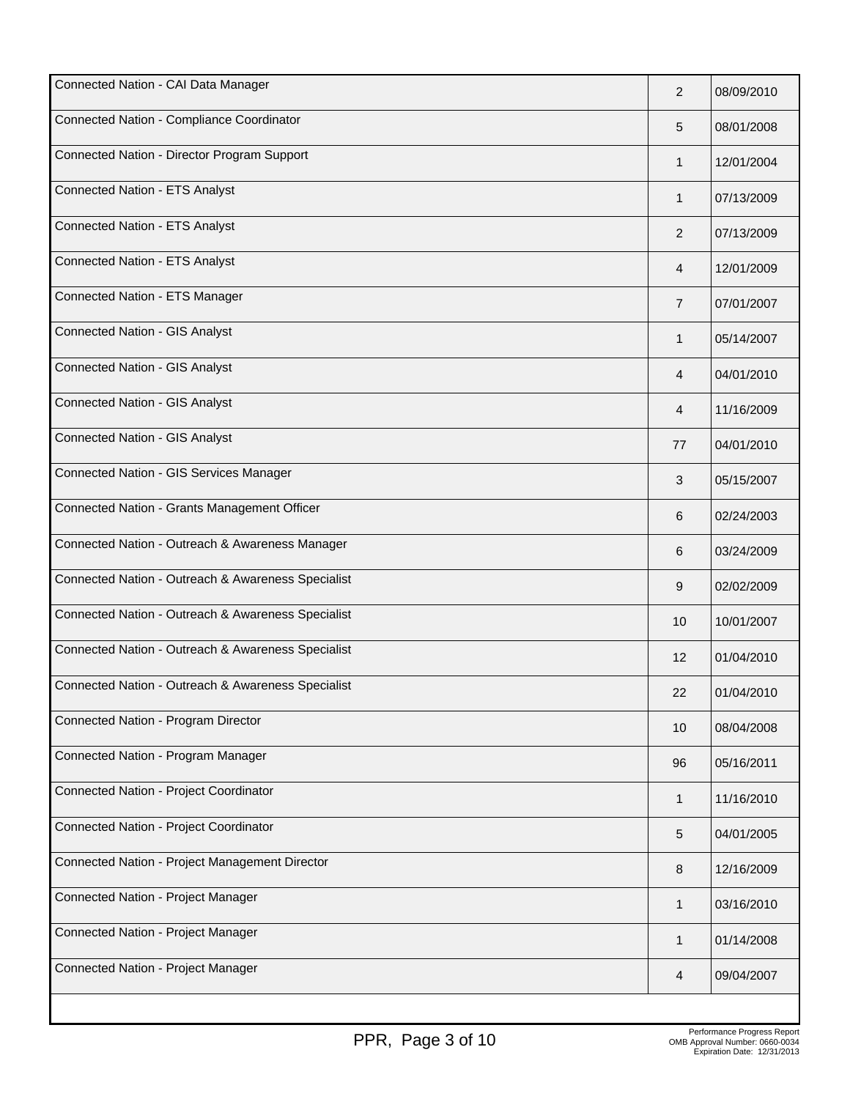| Connected Nation - CAI Data Manager                | 2              | 08/09/2010 |
|----------------------------------------------------|----------------|------------|
| Connected Nation - Compliance Coordinator          | 5              | 08/01/2008 |
| Connected Nation - Director Program Support        | 1              | 12/01/2004 |
| <b>Connected Nation - ETS Analyst</b>              | 1              | 07/13/2009 |
| <b>Connected Nation - ETS Analyst</b>              | $\overline{2}$ | 07/13/2009 |
| <b>Connected Nation - ETS Analyst</b>              | 4              | 12/01/2009 |
| Connected Nation - ETS Manager                     | $\overline{7}$ | 07/01/2007 |
| <b>Connected Nation - GIS Analyst</b>              | 1              | 05/14/2007 |
| <b>Connected Nation - GIS Analyst</b>              | 4              | 04/01/2010 |
| <b>Connected Nation - GIS Analyst</b>              | 4              | 11/16/2009 |
| <b>Connected Nation - GIS Analyst</b>              | 77             | 04/01/2010 |
| Connected Nation - GIS Services Manager            | 3              | 05/15/2007 |
| Connected Nation - Grants Management Officer       | 6              | 02/24/2003 |
| Connected Nation - Outreach & Awareness Manager    | 6              | 03/24/2009 |
| Connected Nation - Outreach & Awareness Specialist | 9              | 02/02/2009 |
| Connected Nation - Outreach & Awareness Specialist | 10             | 10/01/2007 |
| Connected Nation - Outreach & Awareness Specialist | 12             | 01/04/2010 |
| Connected Nation - Outreach & Awareness Specialist | 22             | 01/04/2010 |
| Connected Nation - Program Director                | 10             | 08/04/2008 |
| Connected Nation - Program Manager                 | 96             | 05/16/2011 |
| Connected Nation - Project Coordinator             | 1              | 11/16/2010 |
| Connected Nation - Project Coordinator             | 5              | 04/01/2005 |
| Connected Nation - Project Management Director     | 8              | 12/16/2009 |
| Connected Nation - Project Manager                 | 1              | 03/16/2010 |
| Connected Nation - Project Manager                 | 1              | 01/14/2008 |
| Connected Nation - Project Manager                 | 4              | 09/04/2007 |
|                                                    |                |            |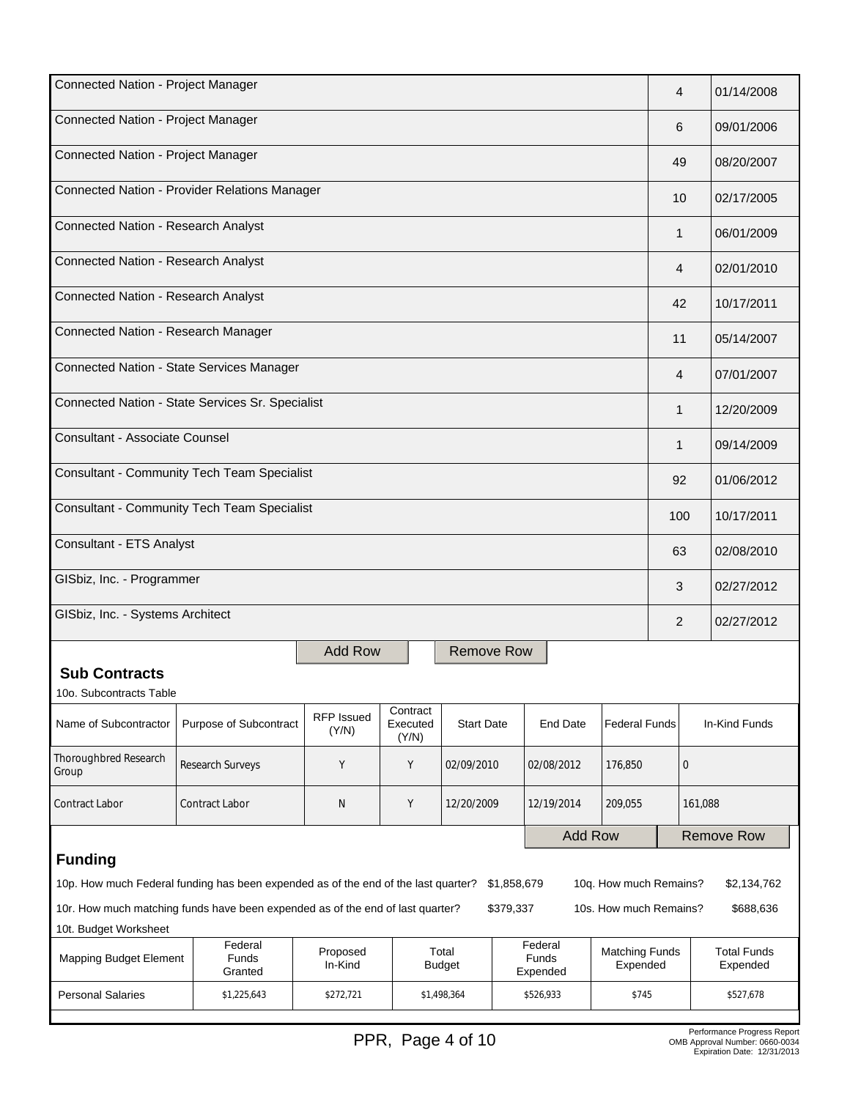| Connected Nation - Project Manager                                                                                                 |                                                                                    |                            |                   |                        |             |                              |                                   | 4             |                   | 01/14/2008                     |
|------------------------------------------------------------------------------------------------------------------------------------|------------------------------------------------------------------------------------|----------------------------|-------------------|------------------------|-------------|------------------------------|-----------------------------------|---------------|-------------------|--------------------------------|
| Connected Nation - Project Manager                                                                                                 |                                                                                    |                            |                   |                        |             |                              |                                   | 6             |                   | 09/01/2006                     |
| Connected Nation - Project Manager                                                                                                 |                                                                                    |                            |                   |                        |             |                              | 49                                |               | 08/20/2007        |                                |
|                                                                                                                                    | Connected Nation - Provider Relations Manager                                      |                            |                   |                        |             |                              |                                   | 10            |                   | 02/17/2005                     |
| Connected Nation - Research Analyst                                                                                                |                                                                                    |                            |                   |                        |             |                              |                                   | 1             |                   | 06/01/2009                     |
| Connected Nation - Research Analyst                                                                                                |                                                                                    |                            |                   |                        |             |                              |                                   | 4             |                   | 02/01/2010                     |
| Connected Nation - Research Analyst                                                                                                |                                                                                    |                            |                   |                        |             |                              |                                   | 42            |                   | 10/17/2011                     |
| Connected Nation - Research Manager                                                                                                |                                                                                    |                            |                   |                        |             |                              |                                   | 11            |                   | 05/14/2007                     |
|                                                                                                                                    | Connected Nation - State Services Manager                                          |                            |                   |                        |             |                              |                                   | 4             |                   | 07/01/2007                     |
|                                                                                                                                    | Connected Nation - State Services Sr. Specialist                                   |                            |                   |                        |             |                              |                                   | 1             |                   | 12/20/2009                     |
| Consultant - Associate Counsel                                                                                                     |                                                                                    |                            |                   |                        |             |                              |                                   | $\mathbf{1}$  |                   | 09/14/2009                     |
|                                                                                                                                    | <b>Consultant - Community Tech Team Specialist</b>                                 |                            |                   |                        |             |                              |                                   | 92            |                   | 01/06/2012                     |
| <b>Consultant - Community Tech Team Specialist</b>                                                                                 |                                                                                    |                            |                   |                        |             |                              | 100                               |               | 10/17/2011        |                                |
| Consultant - ETS Analyst                                                                                                           |                                                                                    |                            |                   |                        |             |                              |                                   | 63            |                   | 02/08/2010                     |
| GISbiz, Inc. - Programmer                                                                                                          |                                                                                    |                            |                   |                        |             |                              | 3                                 |               | 02/27/2012        |                                |
| GISbiz, Inc. - Systems Architect                                                                                                   |                                                                                    |                            |                   |                        |             |                              | $\overline{2}$                    |               | 02/27/2012        |                                |
| <b>Add Row</b><br>Remove Row                                                                                                       |                                                                                    |                            |                   |                        |             |                              |                                   |               |                   |                                |
| <b>Sub Contracts</b>                                                                                                               |                                                                                    |                            |                   |                        |             |                              |                                   |               |                   |                                |
| 10o. Subcontracts Table                                                                                                            |                                                                                    |                            | Contract          |                        |             |                              |                                   |               |                   |                                |
| Name of Subcontractor                                                                                                              | Purpose of Subcontract                                                             | <b>RFP Issued</b><br>(Y/N) | Executed<br>(Y/N) | <b>Start Date</b>      |             | End Date                     | <b>Federal Funds</b>              | In-Kind Funds |                   |                                |
| Thoroughbred Research<br>Group                                                                                                     | Research Surveys                                                                   | Υ                          | Y                 | 02/09/2010             |             | 02/08/2012                   | 176,850                           | 0             |                   |                                |
| Υ<br><b>Contract Labor</b><br><b>Contract Labor</b><br>N<br>12/20/2009<br>12/19/2014<br>209,055                                    |                                                                                    |                            |                   |                        |             |                              | 161,088                           |               |                   |                                |
| <b>Add Row</b>                                                                                                                     |                                                                                    |                            |                   |                        |             |                              |                                   |               | <b>Remove Row</b> |                                |
| <b>Funding</b>                                                                                                                     |                                                                                    |                            |                   |                        |             |                              |                                   |               |                   |                                |
|                                                                                                                                    | 10p. How much Federal funding has been expended as of the end of the last quarter? |                            |                   |                        | \$1,858,679 |                              | 10q. How much Remains?            |               |                   | \$2,134,762                    |
| 10r. How much matching funds have been expended as of the end of last quarter?<br>\$379,337<br>10s. How much Remains?<br>\$688,636 |                                                                                    |                            |                   |                        |             |                              |                                   |               |                   |                                |
| 10t. Budget Worksheet                                                                                                              |                                                                                    |                            |                   |                        |             |                              |                                   |               |                   |                                |
| <b>Mapping Budget Element</b>                                                                                                      | Federal<br><b>Funds</b><br>Granted                                                 | Proposed<br>In-Kind        |                   | Total<br><b>Budget</b> |             | Federal<br>Funds<br>Expended | <b>Matching Funds</b><br>Expended |               |                   | <b>Total Funds</b><br>Expended |
| <b>Personal Salaries</b>                                                                                                           | \$1,225,643                                                                        | \$272,721                  |                   | \$1,498,364            |             | \$526,933                    | \$745                             |               |                   | \$527,678                      |
|                                                                                                                                    |                                                                                    |                            |                   |                        |             |                              |                                   |               |                   |                                |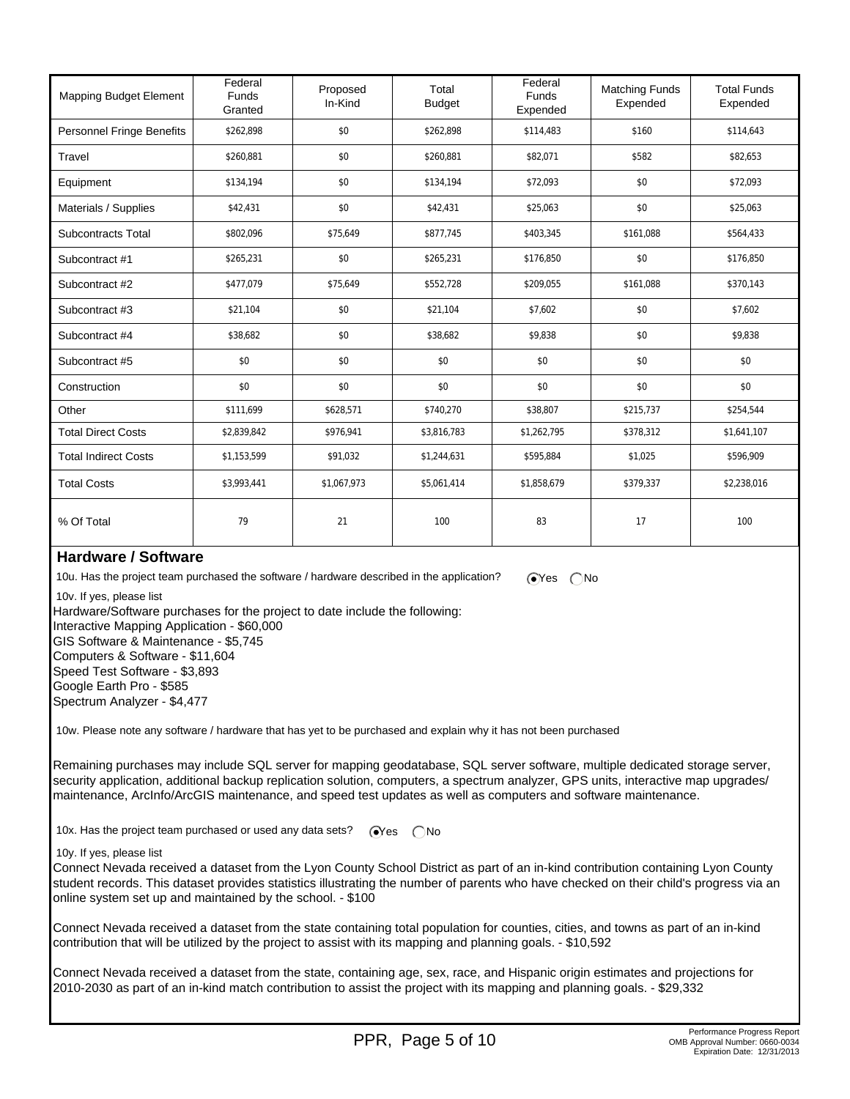| <b>Mapping Budget Element</b>    | Federal<br><b>Funds</b><br>Granted | Proposed<br>In-Kind | Total<br><b>Budget</b> | Federal<br><b>Funds</b><br>Expended | <b>Matching Funds</b><br>Expended | <b>Total Funds</b><br>Expended |
|----------------------------------|------------------------------------|---------------------|------------------------|-------------------------------------|-----------------------------------|--------------------------------|
| <b>Personnel Fringe Benefits</b> | \$262,898                          | \$0                 | \$262,898              | \$114,483                           | \$160                             | \$114,643                      |
| Travel                           | \$260,881                          | \$0                 | \$260,881              | \$82,071                            | \$582                             | \$82,653                       |
| Equipment                        | \$134,194                          | \$0                 | \$134,194              | \$72,093                            | \$0                               | \$72,093                       |
| Materials / Supplies             | \$42,431                           | \$0                 | \$42,431               | \$25,063                            | \$0                               | \$25,063                       |
| <b>Subcontracts Total</b>        | \$802,096                          | \$75,649            | \$877,745              | \$403,345                           | \$161,088                         | \$564,433                      |
| Subcontract #1                   | \$265,231                          | \$0                 | \$265,231              | \$176,850                           | \$0                               | \$176,850                      |
| Subcontract #2                   | \$477,079                          | \$75,649            | \$552,728              | \$209,055                           | \$161,088                         | \$370,143                      |
| Subcontract #3                   | \$21,104                           | \$0                 | \$21,104               | \$7,602                             | \$0                               | \$7,602                        |
| Subcontract #4                   | \$38,682                           | \$0                 | \$38,682               | \$9,838                             | \$0                               | \$9,838                        |
| Subcontract #5                   | \$0                                | \$0                 | \$0                    | \$0                                 | \$0                               | \$0                            |
| Construction                     | \$0                                | \$0                 | \$0                    | \$0                                 | \$0                               | \$0                            |
| Other                            | \$111,699                          | \$628,571           | \$740,270              | \$38,807                            | \$215,737                         | \$254,544                      |
| <b>Total Direct Costs</b>        | \$2,839,842                        | \$976,941           | \$3,816,783            | \$1,262,795                         | \$378,312                         | \$1,641,107                    |
| <b>Total Indirect Costs</b>      | \$1,153,599                        | \$91,032            | \$1,244,631            | \$595,884                           | \$1,025                           | \$596,909                      |
| <b>Total Costs</b>               | \$3,993,441                        | \$1,067,973         | \$5,061,414            | \$1,858,679                         | \$379,337                         | \$2,238,016                    |
| % Of Total                       | 79                                 | 21                  | 100                    | 83                                  | 17                                | 100                            |

### **Hardware / Software**

10u. Has the project team purchased the software / hardware described in the application?  $\bigcirc$  Yes  $\bigcirc$  No

10v. If yes, please list

Hardware/Software purchases for the project to date include the following:

Interactive Mapping Application - \$60,000

GIS Software & Maintenance - \$5,745 Computers & Software - \$11,604 Speed Test Software - \$3,893 Google Earth Pro - \$585

Spectrum Analyzer - \$4,477

10w. Please note any software / hardware that has yet to be purchased and explain why it has not been purchased

Remaining purchases may include SQL server for mapping geodatabase, SQL server software, multiple dedicated storage server, security application, additional backup replication solution, computers, a spectrum analyzer, GPS units, interactive map upgrades/ maintenance, ArcInfo/ArcGIS maintenance, and speed test updates as well as computers and software maintenance.

10x. Has the project team purchased or used any data sets?  $\bigcirc$ Yes  $\bigcirc$ No

#### 10y. If yes, please list

Connect Nevada received a dataset from the Lyon County School District as part of an in-kind contribution containing Lyon County student records. This dataset provides statistics illustrating the number of parents who have checked on their child's progress via an online system set up and maintained by the school. - \$100

Connect Nevada received a dataset from the state containing total population for counties, cities, and towns as part of an in-kind contribution that will be utilized by the project to assist with its mapping and planning goals. - \$10,592

Connect Nevada received a dataset from the state, containing age, sex, race, and Hispanic origin estimates and projections for 2010-2030 as part of an in-kind match contribution to assist the project with its mapping and planning goals. - \$29,332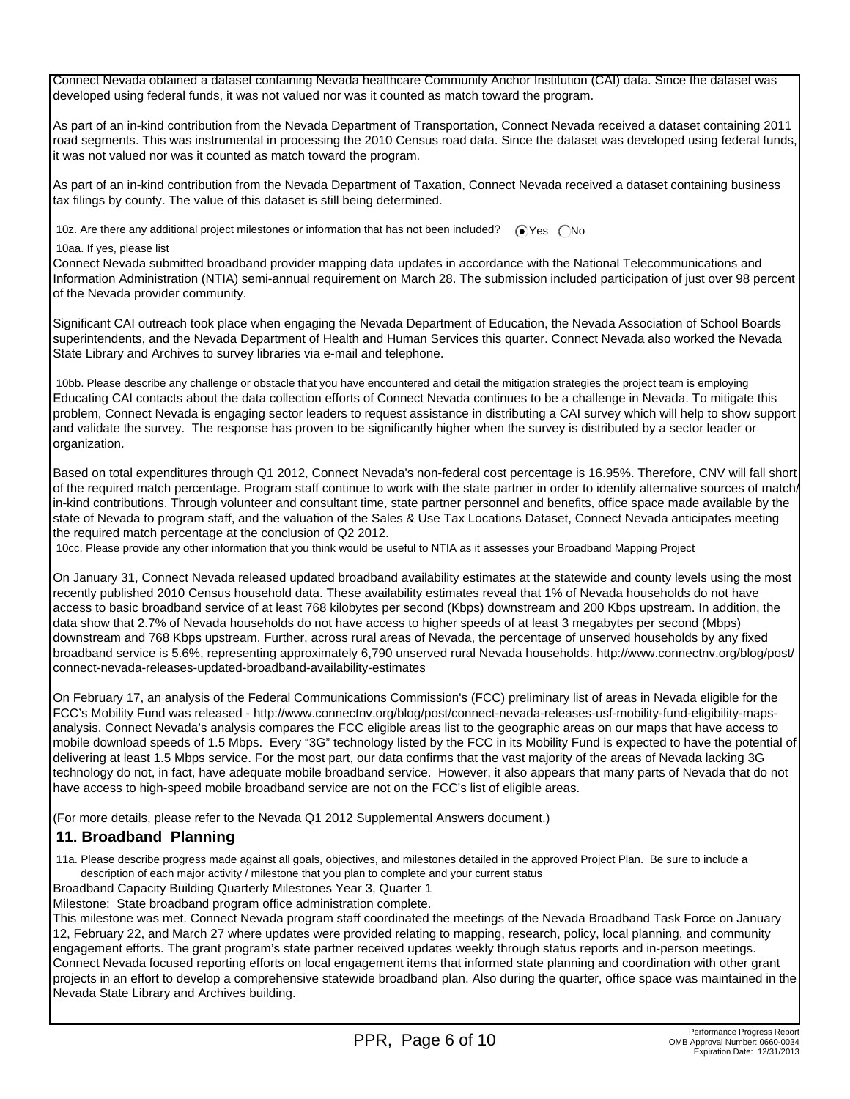Connect Nevada obtained a dataset containing Nevada healthcare Community Anchor Institution (CAI) data. Since the dataset was developed using federal funds, it was not valued nor was it counted as match toward the program.

As part of an in-kind contribution from the Nevada Department of Transportation, Connect Nevada received a dataset containing 2011 road segments. This was instrumental in processing the 2010 Census road data. Since the dataset was developed using federal funds, it was not valued nor was it counted as match toward the program.

As part of an in-kind contribution from the Nevada Department of Taxation, Connect Nevada received a dataset containing business tax filings by county. The value of this dataset is still being determined.

10z. Are there any additional project milestones or information that has not been included?  $\bigcirc$  Yes  $\bigcirc$  No

10aa. If yes, please list

Connect Nevada submitted broadband provider mapping data updates in accordance with the National Telecommunications and Information Administration (NTIA) semi-annual requirement on March 28. The submission included participation of just over 98 percent of the Nevada provider community.

Significant CAI outreach took place when engaging the Nevada Department of Education, the Nevada Association of School Boards superintendents, and the Nevada Department of Health and Human Services this quarter. Connect Nevada also worked the Nevada State Library and Archives to survey libraries via e-mail and telephone.

 10bb. Please describe any challenge or obstacle that you have encountered and detail the mitigation strategies the project team is employing Educating CAI contacts about the data collection efforts of Connect Nevada continues to be a challenge in Nevada. To mitigate this problem, Connect Nevada is engaging sector leaders to request assistance in distributing a CAI survey which will help to show support and validate the survey. The response has proven to be significantly higher when the survey is distributed by a sector leader or organization.

Based on total expenditures through Q1 2012, Connect Nevada's non-federal cost percentage is 16.95%. Therefore, CNV will fall short of the required match percentage. Program staff continue to work with the state partner in order to identify alternative sources of match/ in-kind contributions. Through volunteer and consultant time, state partner personnel and benefits, office space made available by the state of Nevada to program staff, and the valuation of the Sales & Use Tax Locations Dataset, Connect Nevada anticipates meeting the required match percentage at the conclusion of Q2 2012.

10cc. Please provide any other information that you think would be useful to NTIA as it assesses your Broadband Mapping Project

On January 31, Connect Nevada released updated broadband availability estimates at the statewide and county levels using the most recently published 2010 Census household data. These availability estimates reveal that 1% of Nevada households do not have access to basic broadband service of at least 768 kilobytes per second (Kbps) downstream and 200 Kbps upstream. In addition, the data show that 2.7% of Nevada households do not have access to higher speeds of at least 3 megabytes per second (Mbps) downstream and 768 Kbps upstream. Further, across rural areas of Nevada, the percentage of unserved households by any fixed broadband service is 5.6%, representing approximately 6,790 unserved rural Nevada households. http://www.connectnv.org/blog/post/ connect-nevada-releases-updated-broadband-availability-estimates

On February 17, an analysis of the Federal Communications Commission's (FCC) preliminary list of areas in Nevada eligible for the FCC's Mobility Fund was released - http://www.connectnv.org/blog/post/connect-nevada-releases-usf-mobility-fund-eligibility-mapsanalysis. Connect Nevada's analysis compares the FCC eligible areas list to the geographic areas on our maps that have access to mobile download speeds of 1.5 Mbps. Every "3G" technology listed by the FCC in its Mobility Fund is expected to have the potential of delivering at least 1.5 Mbps service. For the most part, our data confirms that the vast majority of the areas of Nevada lacking 3G technology do not, in fact, have adequate mobile broadband service. However, it also appears that many parts of Nevada that do not have access to high-speed mobile broadband service are not on the FCC's list of eligible areas.

(For more details, please refer to the Nevada Q1 2012 Supplemental Answers document.)

## **11. Broadband Planning**

 11a. Please describe progress made against all goals, objectives, and milestones detailed in the approved Project Plan. Be sure to include a description of each major activity / milestone that you plan to complete and your current status

Broadband Capacity Building Quarterly Milestones Year 3, Quarter 1

Milestone: State broadband program office administration complete.

This milestone was met. Connect Nevada program staff coordinated the meetings of the Nevada Broadband Task Force on January 12, February 22, and March 27 where updates were provided relating to mapping, research, policy, local planning, and community engagement efforts. The grant program's state partner received updates weekly through status reports and in-person meetings. Connect Nevada focused reporting efforts on local engagement items that informed state planning and coordination with other grant projects in an effort to develop a comprehensive statewide broadband plan. Also during the quarter, office space was maintained in the Nevada State Library and Archives building.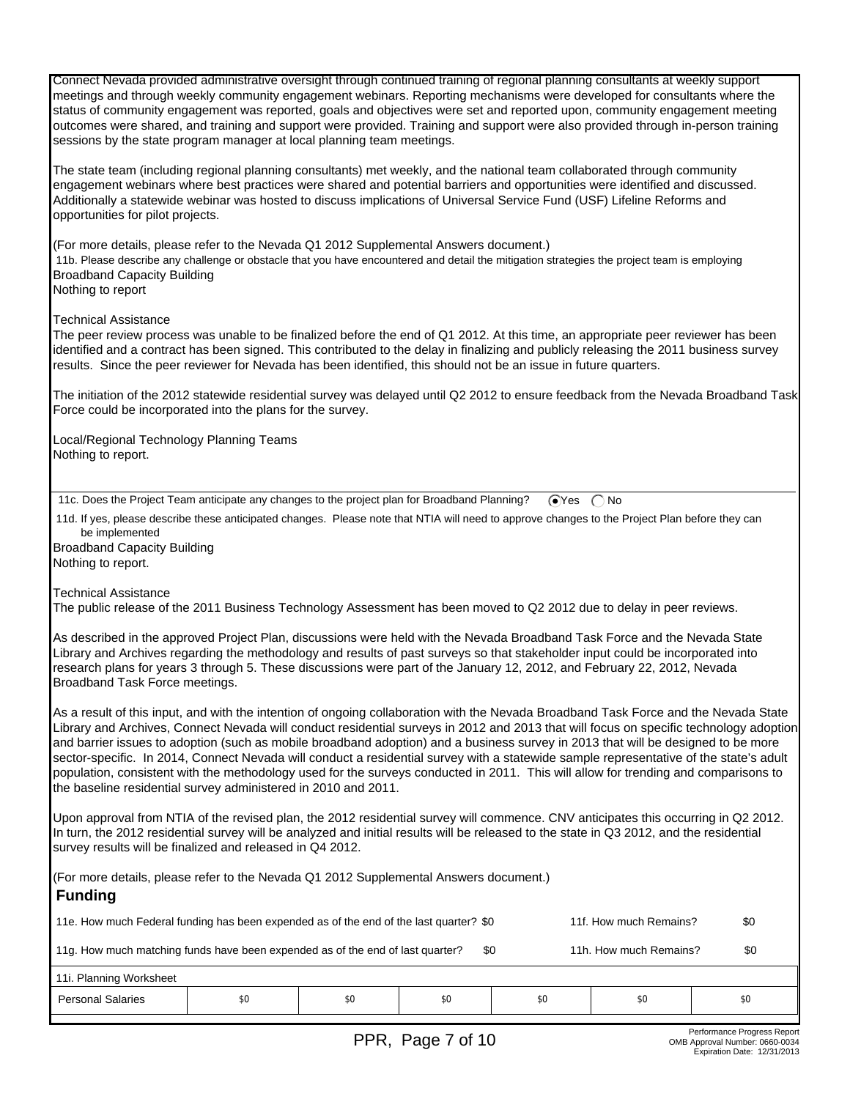Connect Nevada provided administrative oversight through continued training of regional planning consultants at weekly support meetings and through weekly community engagement webinars. Reporting mechanisms were developed for consultants where the status of community engagement was reported, goals and objectives were set and reported upon, community engagement meeting outcomes were shared, and training and support were provided. Training and support were also provided through in-person training sessions by the state program manager at local planning team meetings.

The state team (including regional planning consultants) met weekly, and the national team collaborated through community engagement webinars where best practices were shared and potential barriers and opportunities were identified and discussed. Additionally a statewide webinar was hosted to discuss implications of Universal Service Fund (USF) Lifeline Reforms and opportunities for pilot projects.

(For more details, please refer to the Nevada Q1 2012 Supplemental Answers document.) 11b. Please describe any challenge or obstacle that you have encountered and detail the mitigation strategies the project team is employing Broadband Capacity Building Nothing to report

Technical Assistance

The peer review process was unable to be finalized before the end of Q1 2012. At this time, an appropriate peer reviewer has been identified and a contract has been signed. This contributed to the delay in finalizing and publicly releasing the 2011 business survey results. Since the peer reviewer for Nevada has been identified, this should not be an issue in future quarters.

The initiation of the 2012 statewide residential survey was delayed until Q2 2012 to ensure feedback from the Nevada Broadband Task Force could be incorporated into the plans for the survey.

Local/Regional Technology Planning Teams Nothing to report.

| 11c. Does the Project Team anticipate any changes to the project plan for Broadband Planning? GYes C No |  |  |
|---------------------------------------------------------------------------------------------------------|--|--|
|---------------------------------------------------------------------------------------------------------|--|--|

 11d. If yes, please describe these anticipated changes. Please note that NTIA will need to approve changes to the Project Plan before they can be implemented

Broadband Capacity Building Nothing to report.

Technical Assistance

The public release of the 2011 Business Technology Assessment has been moved to Q2 2012 due to delay in peer reviews.

As described in the approved Project Plan, discussions were held with the Nevada Broadband Task Force and the Nevada State Library and Archives regarding the methodology and results of past surveys so that stakeholder input could be incorporated into research plans for years 3 through 5. These discussions were part of the January 12, 2012, and February 22, 2012, Nevada Broadband Task Force meetings.

As a result of this input, and with the intention of ongoing collaboration with the Nevada Broadband Task Force and the Nevada State Library and Archives, Connect Nevada will conduct residential surveys in 2012 and 2013 that will focus on specific technology adoption and barrier issues to adoption (such as mobile broadband adoption) and a business survey in 2013 that will be designed to be more sector-specific. In 2014, Connect Nevada will conduct a residential survey with a statewide sample representative of the state's adult population, consistent with the methodology used for the surveys conducted in 2011. This will allow for trending and comparisons to the baseline residential survey administered in 2010 and 2011.

Upon approval from NTIA of the revised plan, the 2012 residential survey will commence. CNV anticipates this occurring in Q2 2012. In turn, the 2012 residential survey will be analyzed and initial results will be released to the state in Q3 2012, and the residential survey results will be finalized and released in Q4 2012.

| (For more details, please refer to the Nevada Q1 2012 Supplemental Answers document.)<br><b>Funding</b>                 |     |     |     |     |     |     |  |
|-------------------------------------------------------------------------------------------------------------------------|-----|-----|-----|-----|-----|-----|--|
| 11e. How much Federal funding has been expended as of the end of the last quarter? \$0<br>11f. How much Remains?<br>\$0 |     |     |     |     |     |     |  |
| 11g. How much matching funds have been expended as of the end of last quarter?<br>11h. How much Remains?<br>\$0         |     |     |     |     |     |     |  |
| 11i. Planning Worksheet                                                                                                 |     |     |     |     |     |     |  |
| <b>Personal Salaries</b>                                                                                                | \$0 | \$0 | \$0 | \$0 | \$0 | \$0 |  |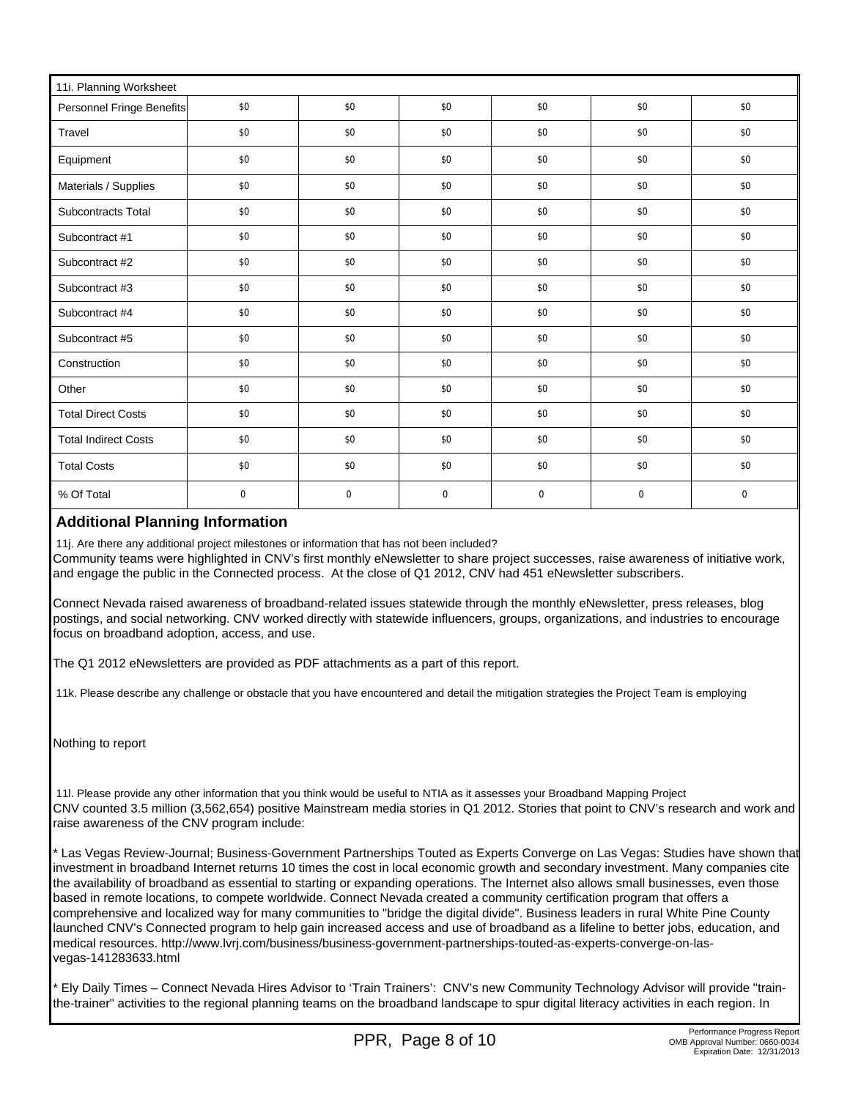| 11i. Planning Worksheet     |           |             |           |     |             |           |  |
|-----------------------------|-----------|-------------|-----------|-----|-------------|-----------|--|
| Personnel Fringe Benefits   | \$0       | \$0         | \$0       | \$0 | \$0         | \$0       |  |
| Travel                      | \$0       | \$0         | \$0       | \$0 | \$0         | \$0       |  |
| Equipment                   | \$0       | \$0         | \$0       | \$0 | \$0         | \$0       |  |
| Materials / Supplies        | \$0       | \$0         | \$0       | \$0 | \$0         | \$0       |  |
| <b>Subcontracts Total</b>   | \$0       | \$0         | \$0       | \$0 | \$0         | \$0       |  |
| Subcontract #1              | \$0       | \$0         | \$0       | \$0 | \$0         | \$0       |  |
| Subcontract #2              | \$0       | \$0         | \$0       | \$0 | \$0         | \$0       |  |
| Subcontract #3              | \$0       | \$0         | \$0       | \$0 | \$0         | \$0       |  |
| Subcontract #4              | \$0       | \$0         | \$0       | \$0 | \$0         | \$0       |  |
| Subcontract #5              | \$0       | \$0         | \$0       | \$0 | \$0         | \$0       |  |
| Construction                | \$0       | \$0         | \$0       | \$0 | \$0         | \$0       |  |
| Other                       | \$0       | \$0         | \$0       | \$0 | \$0         | \$0       |  |
| <b>Total Direct Costs</b>   | \$0       | \$0         | \$0       | \$0 | \$0         | \$0       |  |
| <b>Total Indirect Costs</b> | \$0       | \$0         | \$0       | \$0 | \$0         | \$0       |  |
| <b>Total Costs</b>          | \$0       | \$0         | \$0       | \$0 | \$0         | \$0       |  |
| % Of Total                  | $\pmb{0}$ | $\mathbf 0$ | $\pmb{0}$ | 0   | $\mathbf 0$ | $\pmb{0}$ |  |

# **Additional Planning Information**

 11j. Are there any additional project milestones or information that has not been included? Community teams were highlighted in CNV's first monthly eNewsletter to share project successes, raise awareness of initiative work, and engage the public in the Connected process. At the close of Q1 2012, CNV had 451 eNewsletter subscribers.

Connect Nevada raised awareness of broadband-related issues statewide through the monthly eNewsletter, press releases, blog postings, and social networking. CNV worked directly with statewide influencers, groups, organizations, and industries to encourage focus on broadband adoption, access, and use.

The Q1 2012 eNewsletters are provided as PDF attachments as a part of this report.

11k. Please describe any challenge or obstacle that you have encountered and detail the mitigation strategies the Project Team is employing

Nothing to report

 11l. Please provide any other information that you think would be useful to NTIA as it assesses your Broadband Mapping Project CNV counted 3.5 million (3,562,654) positive Mainstream media stories in Q1 2012. Stories that point to CNV's research and work and raise awareness of the CNV program include:

\* Las Vegas Review-Journal; Business-Government Partnerships Touted as Experts Converge on Las Vegas: Studies have shown that investment in broadband Internet returns 10 times the cost in local economic growth and secondary investment. Many companies cite the availability of broadband as essential to starting or expanding operations. The Internet also allows small businesses, even those based in remote locations, to compete worldwide. Connect Nevada created a community certification program that offers a comprehensive and localized way for many communities to "bridge the digital divide". Business leaders in rural White Pine County launched CNV's Connected program to help gain increased access and use of broadband as a lifeline to better jobs, education, and medical resources. http://www.lvrj.com/business/business-government-partnerships-touted-as-experts-converge-on-lasvegas-141283633.html

\* Ely Daily Times – Connect Nevada Hires Advisor to 'Train Trainers': CNV's new Community Technology Advisor will provide "trainthe-trainer" activities to the regional planning teams on the broadband landscape to spur digital literacy activities in each region. In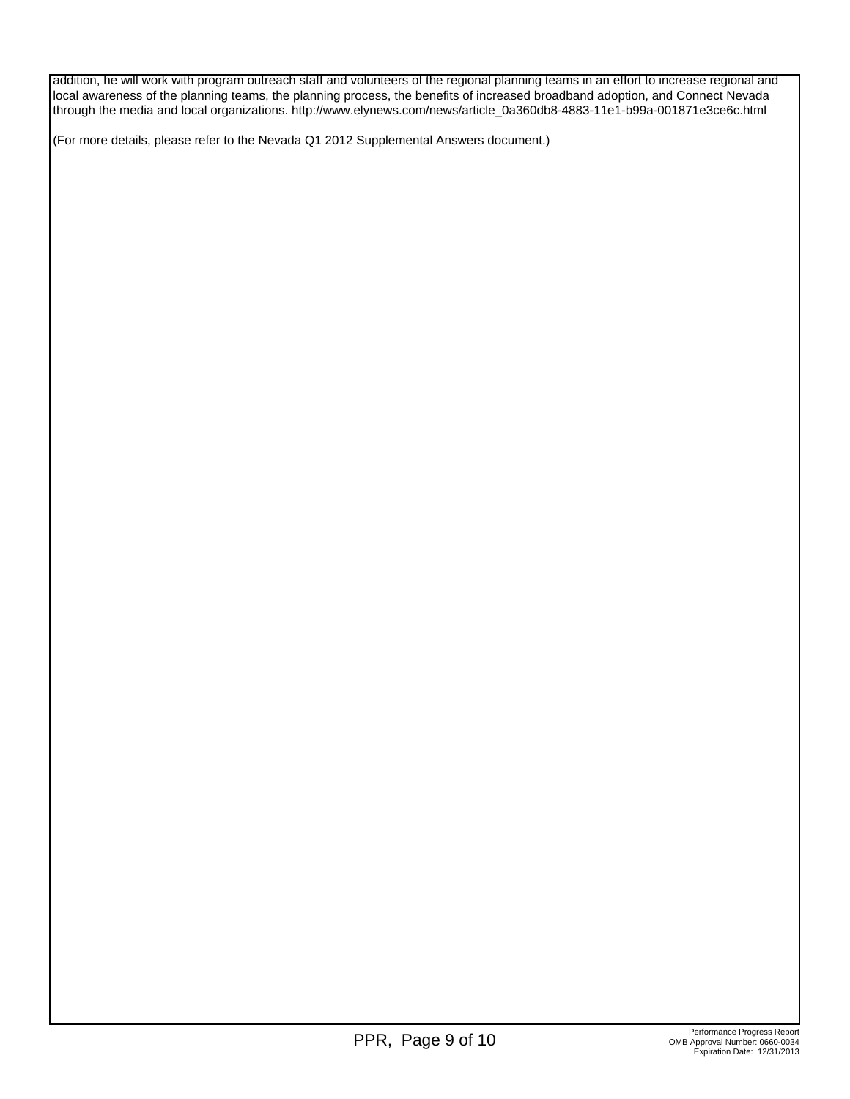addition, he will work with program outreach staff and volunteers of the regional planning teams in an effort to increase regional and local awareness of the planning teams, the planning process, the benefits of increased broadband adoption, and Connect Nevada through the media and local organizations. http://www.elynews.com/news/article\_0a360db8-4883-11e1-b99a-001871e3ce6c.html

(For more details, please refer to the Nevada Q1 2012 Supplemental Answers document.)